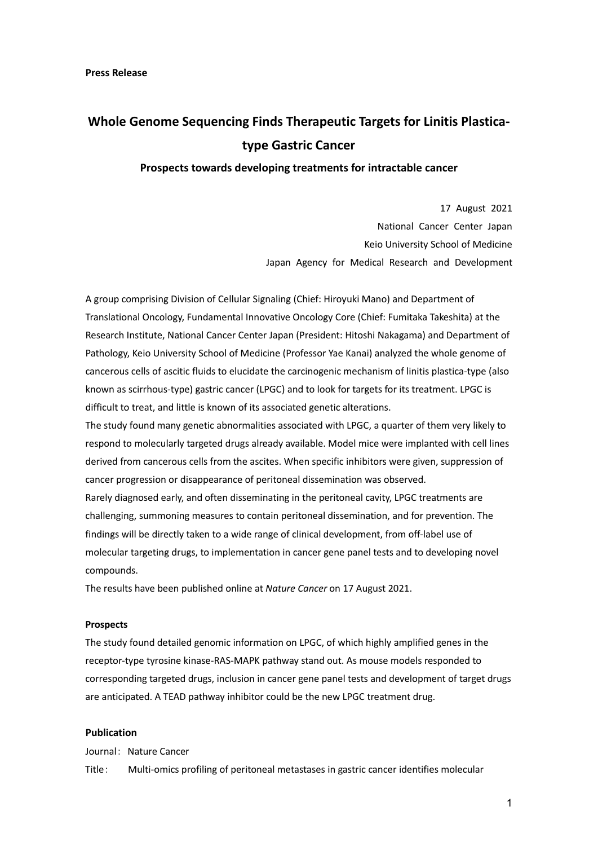# **Whole Genome Sequencing Finds Therapeutic Targets for Linitis Plasticatype Gastric Cancer**

**Prospects towards developing treatments for intractable cancer** 

17 August 2021 National Cancer Center Japan Keio University School of Medicine Japan Agency for Medical Research and Development

A group comprising Division of Cellular Signaling (Chief: Hiroyuki Mano) and Department of Translational Oncology, Fundamental Innovative Oncology Core (Chief: Fumitaka Takeshita) at the Research Institute, National Cancer Center Japan (President: Hitoshi Nakagama) and Department of Pathology, Keio University School of Medicine (Professor Yae Kanai) analyzed the whole genome of cancerous cells of ascitic fluids to elucidate the carcinogenic mechanism of linitis plastica-type (also known as scirrhous-type) gastric cancer (LPGC) and to look for targets for its treatment. LPGC is difficult to treat, and little is known of its associated genetic alterations.

The study found many genetic abnormalities associated with LPGC, a quarter of them very likely to respond to molecularly targeted drugs already available. Model mice were implanted with cell lines derived from cancerous cells from the ascites. When specific inhibitors were given, suppression of cancer progression or disappearance of peritoneal dissemination was observed. Rarely diagnosed early, and often disseminating in the peritoneal cavity, LPGC treatments are challenging, summoning measures to contain peritoneal dissemination, and for prevention. The findings will be directly taken to a wide range of clinical development, from off-label use of

molecular targeting drugs, to implementation in cancer gene panel tests and to developing novel

compounds.

The results have been published online at *Nature Cancer* on 17 August 2021.

#### **Prospects**

The study found detailed genomic information on LPGC, of which highly amplified genes in the receptor-type tyrosine kinase-RAS-MAPK pathway stand out. As mouse models responded to corresponding targeted drugs, inclusion in cancer gene panel tests and development of target drugs are anticipated. A TEAD pathway inhibitor could be the new LPGC treatment drug.

### **Publication**

Journal: Nature Cancer

Title: Multi-omics profiling of peritoneal metastases in gastric cancer identifies molecular

1